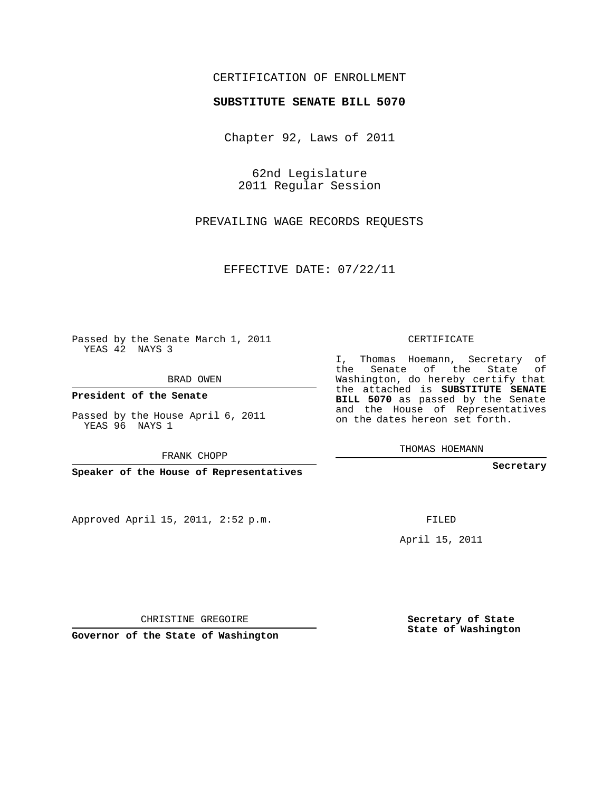## CERTIFICATION OF ENROLLMENT

## **SUBSTITUTE SENATE BILL 5070**

Chapter 92, Laws of 2011

62nd Legislature 2011 Regular Session

PREVAILING WAGE RECORDS REQUESTS

EFFECTIVE DATE: 07/22/11

Passed by the Senate March 1, 2011 YEAS 42 NAYS 3

BRAD OWEN

**President of the Senate**

Passed by the House April 6, 2011 YEAS 96 NAYS 1

FRANK CHOPP

**Speaker of the House of Representatives**

Approved April 15, 2011, 2:52 p.m.

CERTIFICATE

I, Thomas Hoemann, Secretary of the Senate of the State of Washington, do hereby certify that the attached is **SUBSTITUTE SENATE BILL 5070** as passed by the Senate and the House of Representatives on the dates hereon set forth.

THOMAS HOEMANN

**Secretary**

FILED

April 15, 2011

CHRISTINE GREGOIRE

**Governor of the State of Washington**

**Secretary of State State of Washington**